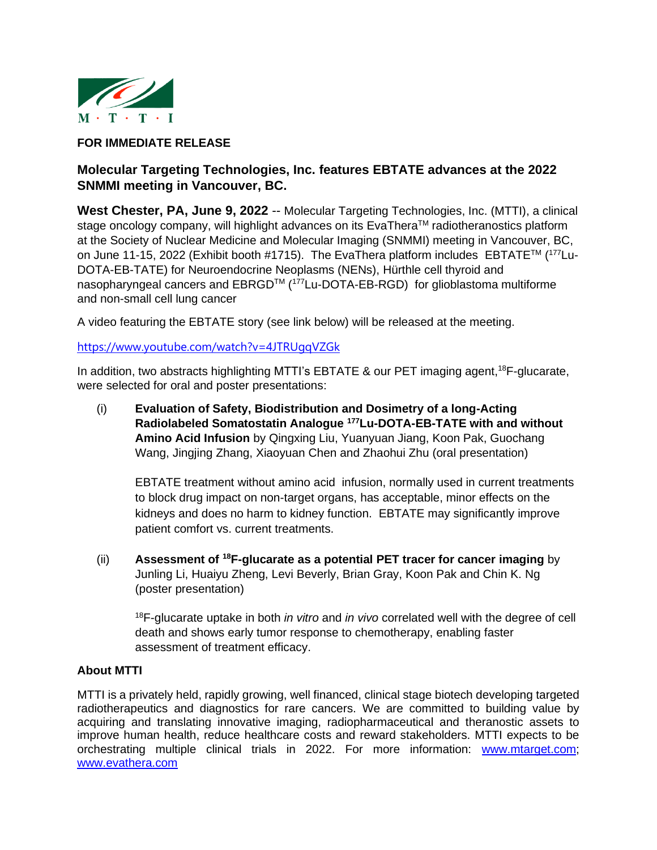

## **FOR IMMEDIATE RELEASE**

## **Molecular Targeting Technologies, Inc. features EBTATE advances at the 2022 SNMMI meeting in Vancouver, BC.**

**West Chester, PA, June 9, 2022** -- Molecular Targeting Technologies, Inc. (MTTI), a clinical stage oncology company, will highlight advances on its EvaThera™ radiotheranostics platform at the Society of Nuclear Medicine and Molecular Imaging (SNMMI) meeting in Vancouver, BC, on June 11-15, 2022 (Exhibit booth #1715). The EvaThera platform includes EBTATE™ (177Lu-DOTA-EB-TATE) for Neuroendocrine Neoplasms (NENs), Hürthle cell thyroid and nasopharyngeal cancers and EBRGD<sup>™</sup> (<sup>177</sup>Lu-DOTA-EB-RGD) for glioblastoma multiforme and non-small cell lung cancer

A video featuring the EBTATE story (see link below) will be released at the meeting.

## <https://www.youtube.com/watch?v=4JTRUgqVZGk>

In addition, two abstracts highlighting MTTI's EBTATE & our PET imaging agent,<sup>18</sup>F-glucarate, were selected for oral and poster presentations:

(i) **Evaluation of Safety, Biodistribution and Dosimetry of a long-Acting Radiolabeled Somatostatin Analogue <sup>177</sup>Lu-DOTA-EB-TATE with and without Amino Acid Infusion** by Qingxing Liu, Yuanyuan Jiang, Koon Pak, Guochang Wang, Jingjing Zhang, Xiaoyuan Chen and Zhaohui Zhu (oral presentation)

EBTATE treatment without amino acid infusion, normally used in current treatments to block drug impact on non-target organs, has acceptable, minor effects on the kidneys and does no harm to kidney function. EBTATE may significantly improve patient comfort vs. current treatments.

(ii) **Assessment of <sup>18</sup>F-glucarate as a potential PET tracer for cancer imaging** by Junling Li, Huaiyu Zheng, Levi Beverly, Brian Gray, Koon Pak and Chin K. Ng (poster presentation)

<sup>18</sup>F-glucarate uptake in both *in vitro* and *in vivo* correlated well with the degree of cell death and shows early tumor response to chemotherapy, enabling faster assessment of treatment efficacy.

## **About MTTI**

MTTI is a privately held, rapidly growing, well financed, clinical stage biotech developing targeted radiotherapeutics and diagnostics for rare cancers. We are committed to building value by acquiring and translating innovative imaging, radiopharmaceutical and theranostic assets to improve human health, reduce healthcare costs and reward stakeholders. MTTI expects to be orchestrating multiple clinical trials in 2022. For more information: [www.mtarget.com;](http://www.mtarget.com/) [www.evathera.com](http://www.evathera.com/)